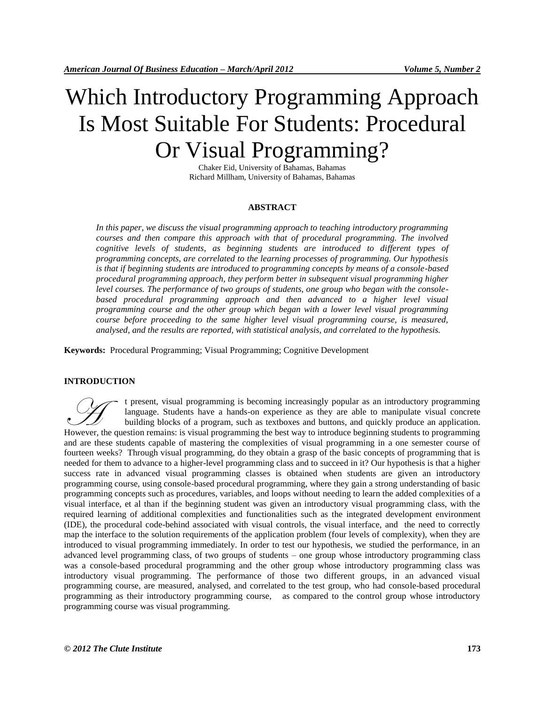# Which Introductory Programming Approach Is Most Suitable For Students: Procedural Or Visual Programming?

Chaker Eid, University of Bahamas, Bahamas Richard Millham, University of Bahamas, Bahamas

## **ABSTRACT**

*In this paper, we discuss the visual programming approach to teaching introductory programming courses and then compare this approach with that of procedural programming. The involved cognitive levels of students, as beginning students are introduced to different types of programming concepts, are correlated to the learning processes of programming. Our hypothesis is that if beginning students are introduced to programming concepts by means of a console-based procedural programming approach, they perform better in subsequent visual programming higher level courses. The performance of two groups of students, one group who began with the consolebased procedural programming approach and then advanced to a higher level visual programming course and the other group which began with a lower level visual programming course before proceeding to the same higher level visual programming course, is measured, analysed, and the results are reported, with statistical analysis, and correlated to the hypothesis.*

**Keywords:** Procedural Programming; Visual Programming; Cognitive Development

## **INTRODUCTION**

t present, visual programming is becoming increasingly popular as an introductory programming language. Students have a hands-on experience as they are able to manipulate visual concrete building blocks of a program, such as textboxes and buttons, and quickly produce an application. t present, visual programming is becoming increasingly popular as an introductory programming language. Students have a hands-on experience as they are able to manipulate visual concrete building blocks of a program, such and are these students capable of mastering the complexities of visual programming in a one semester course of fourteen weeks? Through visual programming, do they obtain a grasp of the basic concepts of programming that is needed for them to advance to a higher-level programming class and to succeed in it? Our hypothesis is that a higher success rate in advanced visual programming classes is obtained when students are given an introductory programming course, using console-based procedural programming, where they gain a strong understanding of basic programming concepts such as procedures, variables, and loops without needing to learn the added complexities of a visual interface, et al than if the beginning student was given an introductory visual programming class, with the required learning of additional complexities and functionalities such as the integrated development environment (IDE), the procedural code-behind associated with visual controls, the visual interface, and the need to correctly map the interface to the solution requirements of the application problem (four levels of complexity), when they are introduced to visual programming immediately. In order to test our hypothesis, we studied the performance, in an advanced level programming class, of two groups of students – one group whose introductory programming class was a console-based procedural programming and the other group whose introductory programming class was introductory visual programming. The performance of those two different groups, in an advanced visual programming course, are measured, analysed, and correlated to the test group, who had console-based procedural programming as their introductory programming course, as compared to the control group whose introductory programming course was visual programming.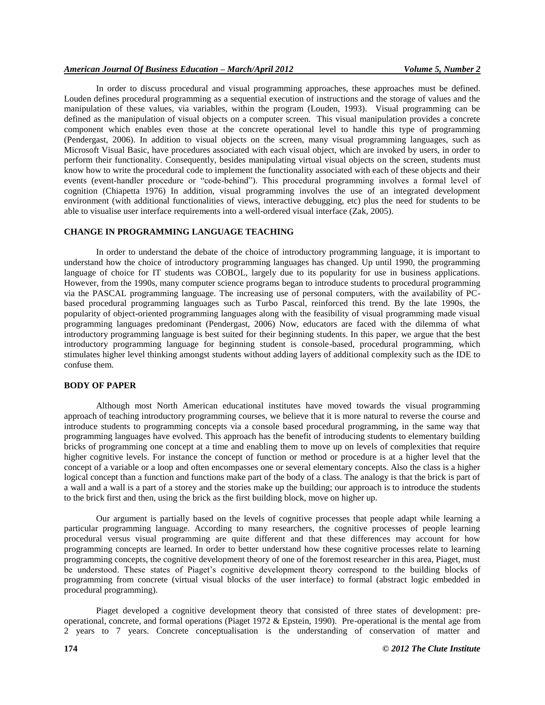## *American Journal Of Business Education – March/April 2012 Volume 5, Number 2*

In order to discuss procedural and visual programming approaches, these approaches must be defined. Louden defines procedural programming as a sequential execution of instructions and the storage of values and the manipulation of these values, via variables, within the program (Louden, 1993). Visual programming can be defined as the manipulation of visual objects on a computer screen. This visual manipulation provides a concrete component which enables even those at the concrete operational level to handle this type of programming (Pendergast, 2006). In addition to visual objects on the screen, many visual programming languages, such as Microsoft Visual Basic, have procedures associated with each visual object, which are invoked by users, in order to perform their functionality. Consequently, besides manipulating virtual visual objects on the screen, students must know how to write the procedural code to implement the functionality associated with each of these objects and their events (event-handler procedure or "code-behind"). This procedural programming involves a formal level of cognition (Chiapetta 1976) In addition, visual programming involves the use of an integrated development environment (with additional functionalities of views, interactive debugging, etc) plus the need for students to be able to visualise user interface requirements into a well-ordered visual interface (Zak, 2005).

#### **CHANGE IN PROGRAMMING LANGUAGE TEACHING**

In order to understand the debate of the choice of introductory programming language, it is important to understand how the choice of introductory programming languages has changed. Up until 1990, the programming language of choice for IT students was COBOL, largely due to its popularity for use in business applications. However, from the 1990s, many computer science programs began to introduce students to procedural programming via the PASCAL programming language. The increasing use of personal computers, with the availability of PCbased procedural programming languages such as Turbo Pascal, reinforced this trend. By the late 1990s, the popularity of object-oriented programming languages along with the feasibility of visual programming made visual programming languages predominant (Pendergast, 2006) Now, educators are faced with the dilemma of what introductory programming language is best suited for their beginning students. In this paper, we argue that the best introductory programming language for beginning student is console-based, procedural programming, which stimulates higher level thinking amongst students without adding layers of additional complexity such as the IDE to confuse them.

#### **BODY OF PAPER**

Although most North American educational institutes have moved towards the visual programming approach of teaching introductory programming courses, we believe that it is more natural to reverse the course and introduce students to programming concepts via a console based procedural programming, in the same way that programming languages have evolved. This approach has the benefit of introducing students to elementary building bricks of programming one concept at a time and enabling them to move up on levels of complexities that require higher cognitive levels. For instance the concept of function or method or procedure is at a higher level that the concept of a variable or a loop and often encompasses one or several elementary concepts. Also the class is a higher logical concept than a function and functions make part of the body of a class. The analogy is that the brick is part of a wall and a wall is a part of a storey and the stories make up the building; our approach is to introduce the students to the brick first and then, using the brick as the first building block, move on higher up.

Our argument is partially based on the levels of cognitive processes that people adapt while learning a particular programming language. According to many researchers, the cognitive processes of people learning procedural versus visual programming are quite different and that these differences may account for how programming concepts are learned. In order to better understand how these cognitive processes relate to learning programming concepts, the cognitive development theory of one of the foremost researcher in this area, Piaget, must be understood. These states of Piaget's cognitive development theory correspond to the building blocks of programming from concrete (virtual visual blocks of the user interface) to formal (abstract logic embedded in procedural programming).

Piaget developed a cognitive development theory that consisted of three states of development: preoperational, concrete, and formal operations (Piaget 1972 & Epstein, 1990). Pre-operational is the mental age from 2 years to 7 years. Concrete conceptualisation is the understanding of conservation of matter and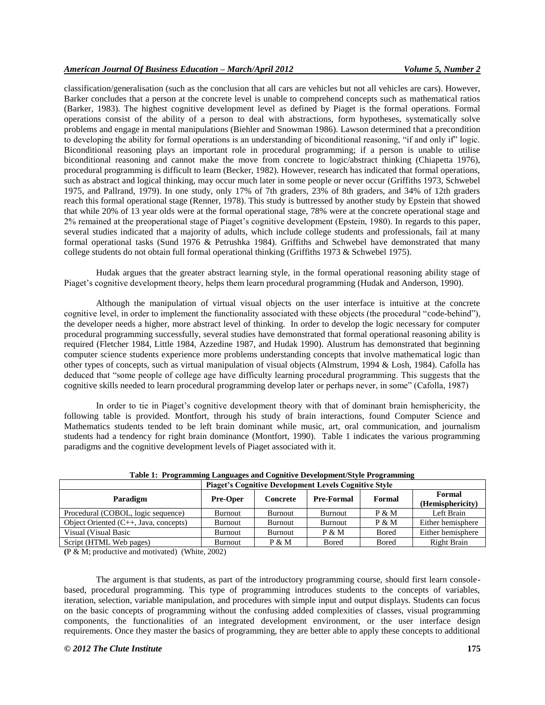classification/generalisation (such as the conclusion that all cars are vehicles but not all vehicles are cars). However, Barker concludes that a person at the concrete level is unable to comprehend concepts such as mathematical ratios (Barker, 1983). The highest cognitive development level as defined by Piaget is the formal operations. Formal operations consist of the ability of a person to deal with abstractions, form hypotheses, systematically solve problems and engage in mental manipulations (Biehler and Snowman 1986). Lawson determined that a precondition to developing the ability for formal operations is an understanding of biconditional reasoning, "if and only if" logic. Biconditional reasoning plays an important role in procedural programming; if a person is unable to utilise biconditional reasoning and cannot make the move from concrete to logic/abstract thinking (Chiapetta 1976), procedural programming is difficult to learn (Becker, 1982). However, research has indicated that formal operations, such as abstract and logical thinking, may occur much later in some people or never occur (Griffiths 1973, Schwebel 1975, and Pallrand, 1979). In one study, only 17% of 7th graders, 23% of 8th graders, and 34% of 12th graders reach this formal operational stage (Renner, 1978). This study is buttressed by another study by Epstein that showed that while 20% of 13 year olds were at the formal operational stage, 78% were at the concrete operational stage and 2% remained at the preoperational stage of Piaget's cognitive development (Epstein, 1980). In regards to this paper, several studies indicated that a majority of adults, which include college students and professionals, fail at many formal operational tasks (Sund 1976 & Petrushka 1984). Griffiths and Schwebel have demonstrated that many college students do not obtain full formal operational thinking (Griffiths 1973 & Schwebel 1975).

Hudak argues that the greater abstract learning style, in the formal operational reasoning ability stage of Piaget's cognitive development theory, helps them learn procedural programming (Hudak and Anderson, 1990).

Although the manipulation of virtual visual objects on the user interface is intuitive at the concrete cognitive level, in order to implement the functionality associated with these objects (the procedural "code-behind"), the developer needs a higher, more abstract level of thinking. In order to develop the logic necessary for computer procedural programming successfully, several studies have demonstrated that formal operational reasoning ability is required (Fletcher 1984, Little 1984, Azzedine 1987, and Hudak 1990). Alustrum has demonstrated that beginning computer science students experience more problems understanding concepts that involve mathematical logic than other types of concepts, such as virtual manipulation of visual objects (Almstrum, 1994 & Losh, 1984). Cafolla has deduced that "some people of college age have difficulty learning procedural programming. This suggests that the cognitive skills needed to learn procedural programming develop later or perhaps never, in some" (Cafolla, 1987)

In order to tie in Piaget's cognitive development theory with that of dominant brain hemisphericity, the following table is provided. Montfort, through his study of brain interactions, found Computer Science and Mathematics students tended to be left brain dominant while music, art, oral communication, and journalism students had a tendency for right brain dominance (Montfort, 1990). Table 1 indicates the various programming paradigms and the cognitive development levels of Piaget associated with it.

|                                                          | <b>Piaget's Cognitive Development Levels Cognitive Style</b> |                |                   |              |                            |
|----------------------------------------------------------|--------------------------------------------------------------|----------------|-------------------|--------------|----------------------------|
| Paradigm                                                 | <b>Pre-Oper</b>                                              | Concrete       | <b>Pre-Formal</b> | Formal       | Formal<br>(Hemisphericity) |
| Procedural (COBOL, logic sequence)                       | <b>Burnout</b>                                               | <b>Burnout</b> | Burnout           | P & M        | Left Brain                 |
| Object Oriented $(C_{++}, \text{Java}, \text{concepts})$ | <b>Burnout</b>                                               | <b>Burnout</b> | <b>Burnout</b>    | $P \& M$     | Either hemisphere          |
| Visual (Visual Basic)                                    | Burnout                                                      | <b>Burnout</b> | $P \& M$          | <b>Bored</b> | Either hemisphere          |
| Script (HTML Web pages)                                  | Burnout                                                      | $P \& M$       | <b>Bored</b>      | <b>Bored</b> | <b>Right Brain</b>         |

**Table 1: Programming Languages and Cognitive Development/Style Programming**

**(**P & M; productive and motivated) (White, 2002)

The argument is that students, as part of the introductory programming course, should first learn consolebased, procedural programming. This type of programming introduces students to the concepts of variables, iteration, selection, variable manipulation, and procedures with simple input and output displays. Students can focus on the basic concepts of programming without the confusing added complexities of classes, visual programming components, the functionalities of an integrated development environment, or the user interface design requirements. Once they master the basics of programming, they are better able to apply these concepts to additional

#### *© 2012 The Clute Institute* **175**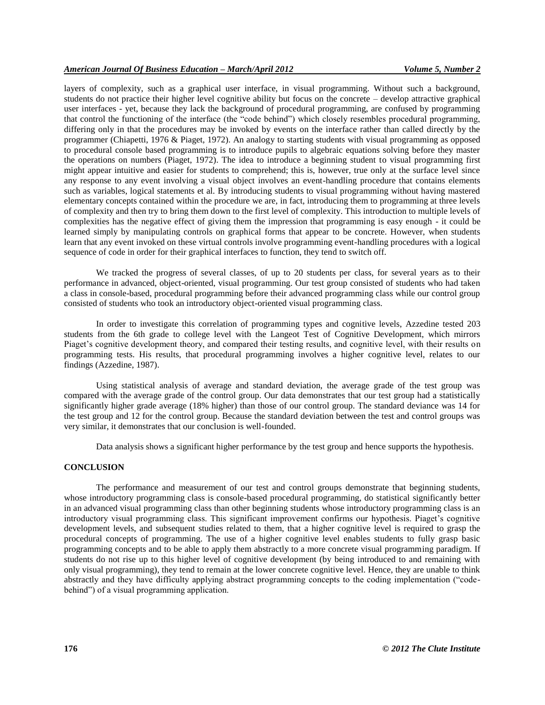layers of complexity, such as a graphical user interface, in visual programming. Without such a background, students do not practice their higher level cognitive ability but focus on the concrete – develop attractive graphical user interfaces - yet, because they lack the background of procedural programming, are confused by programming that control the functioning of the interface (the "code behind") which closely resembles procedural programming, differing only in that the procedures may be invoked by events on the interface rather than called directly by the programmer (Chiapetti, 1976 & Piaget, 1972). An analogy to starting students with visual programming as opposed to procedural console based programming is to introduce pupils to algebraic equations solving before they master the operations on numbers (Piaget, 1972). The idea to introduce a beginning student to visual programming first might appear intuitive and easier for students to comprehend; this is, however, true only at the surface level since any response to any event involving a visual object involves an event-handling procedure that contains elements such as variables, logical statements et al. By introducing students to visual programming without having mastered elementary concepts contained within the procedure we are, in fact, introducing them to programming at three levels of complexity and then try to bring them down to the first level of complexity. This introduction to multiple levels of complexities has the negative effect of giving them the impression that programming is easy enough - it could be learned simply by manipulating controls on graphical forms that appear to be concrete. However, when students learn that any event invoked on these virtual controls involve programming event-handling procedures with a logical sequence of code in order for their graphical interfaces to function, they tend to switch off.

We tracked the progress of several classes, of up to 20 students per class, for several years as to their performance in advanced, object-oriented, visual programming. Our test group consisted of students who had taken a class in console-based, procedural programming before their advanced programming class while our control group consisted of students who took an introductory object-oriented visual programming class.

In order to investigate this correlation of programming types and cognitive levels, Azzedine tested 203 students from the 6th grade to college level with the Langeot Test of Cognitive Development, which mirrors Piaget's cognitive development theory, and compared their testing results, and cognitive level, with their results on programming tests. His results, that procedural programming involves a higher cognitive level, relates to our findings (Azzedine, 1987).

Using statistical analysis of average and standard deviation, the average grade of the test group was compared with the average grade of the control group. Our data demonstrates that our test group had a statistically significantly higher grade average (18% higher) than those of our control group. The standard deviance was 14 for the test group and 12 for the control group. Because the standard deviation between the test and control groups was very similar, it demonstrates that our conclusion is well-founded.

Data analysis shows a significant higher performance by the test group and hence supports the hypothesis.

#### **CONCLUSION**

The performance and measurement of our test and control groups demonstrate that beginning students, whose introductory programming class is console-based procedural programming, do statistical significantly better in an advanced visual programming class than other beginning students whose introductory programming class is an introductory visual programming class. This significant improvement confirms our hypothesis. Piaget's cognitive development levels, and subsequent studies related to them, that a higher cognitive level is required to grasp the procedural concepts of programming. The use of a higher cognitive level enables students to fully grasp basic programming concepts and to be able to apply them abstractly to a more concrete visual programming paradigm. If students do not rise up to this higher level of cognitive development (by being introduced to and remaining with only visual programming), they tend to remain at the lower concrete cognitive level. Hence, they are unable to think abstractly and they have difficulty applying abstract programming concepts to the coding implementation ("codebehind") of a visual programming application.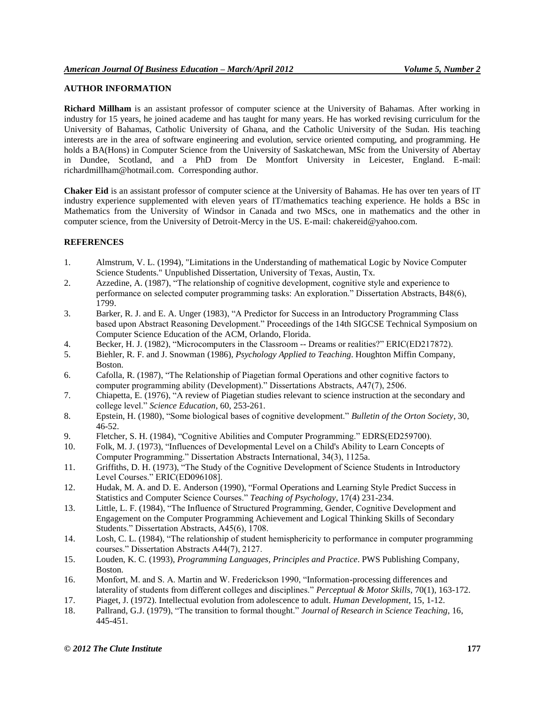# **AUTHOR INFORMATION**

**Richard Millham** is an assistant professor of computer science at the University of Bahamas. After working in industry for 15 years, he joined academe and has taught for many years. He has worked revising curriculum for the University of Bahamas, Catholic University of Ghana, and the Catholic University of the Sudan. His teaching interests are in the area of software engineering and evolution, service oriented computing, and programming. He holds a BA(Hons) in Computer Science from the University of Saskatchewan, MSc from the University of Abertay in Dundee, Scotland, and a PhD from De Montfort University in Leicester, England. E-mail: richardmillham@hotmail.com. Corresponding author.

**Chaker Eid** is an assistant professor of computer science at the University of Bahamas. He has over ten years of IT industry experience supplemented with eleven years of IT/mathematics teaching experience. He holds a BSc in Mathematics from the University of Windsor in Canada and two MScs, one in mathematics and the other in computer science, from the University of Detroit-Mercy in the US. E-mail: chakereid@yahoo.com.

# **REFERENCES**

- 1. Almstrum, V. L. (1994), "Limitations in the Understanding of mathematical Logic by Novice Computer Science Students." Unpublished Dissertation, University of Texas, Austin, Tx.
- 2. Azzedine, A. (1987), "The relationship of cognitive development, cognitive style and experience to performance on selected computer programming tasks: An exploration." Dissertation Abstracts, B48(6), 1799.
- 3. Barker, R. J. and E. A. Unger (1983), "A Predictor for Success in an Introductory Programming Class based upon Abstract Reasoning Development." Proceedings of the 14th SIGCSE Technical Symposium on Computer Science Education of the ACM, Orlando, Florida.
- 4. Becker, H. J. (1982), "Microcomputers in the Classroom -- Dreams or realities?" ERIC(ED217872).
- 5. Biehler, R. F. and J. Snowman (1986), *Psychology Applied to Teaching*. Houghton Miffin Company, Boston.
- 6. Cafolla, R. (1987), "The Relationship of Piagetian formal Operations and other cognitive factors to computer programming ability (Development)." Dissertations Abstracts, A47(7), 2506.
- 7. Chiapetta, E. (1976), "A review of Piagetian studies relevant to science instruction at the secondary and college level." *Science Education*, 60, 253-261.
- 8. Epstein, H. (1980), "Some biological bases of cognitive development." *Bulletin of the Orton Society*, 30, 46-52.
- 9. Fletcher, S. H. (1984), "Cognitive Abilities and Computer Programming." EDRS(ED259700).
- 10. Folk, M. J. (1973), "Influences of Developmental Level on a Child's Ability to Learn Concepts of Computer Programming." Dissertation Abstracts International, 34(3), 1125a.
- 11. Griffiths, D. H. (1973), "The Study of the Cognitive Development of Science Students in Introductory Level Courses." ERIC(ED096108].
- 12. Hudak, M. A. and D. E. Anderson (1990), "Formal Operations and Learning Style Predict Success in Statistics and Computer Science Courses." *Teaching of Psychology*, 17(4) 231-234.
- 13. Little, L. F. (1984), "The Influence of Structured Programming, Gender, Cognitive Development and Engagement on the Computer Programming Achievement and Logical Thinking Skills of Secondary Students." Dissertation Abstracts, A45(6), 1708.
- 14. Losh, C. L. (1984), "The relationship of student hemisphericity to performance in computer programming courses." Dissertation Abstracts A44(7), 2127.
- 15. Louden, K. C. (1993), *Programming Languages, Principles and Practice*. PWS Publishing Company, Boston.
- 16. Monfort, M. and S. A. Martin and W. Frederickson 1990, "Information-processing differences and laterality of students from different colleges and disciplines." *Perceptual & Motor Skills*, 70(1), 163-172.
- 17. Piaget, J. (1972). Intellectual evolution from adolescence to adult. *Human Development*, 15, 1-12.
- 18. Pallrand, G.J. (1979), "The transition to formal thought." *Journal of Research in Science Teaching*, 16, 445-451.